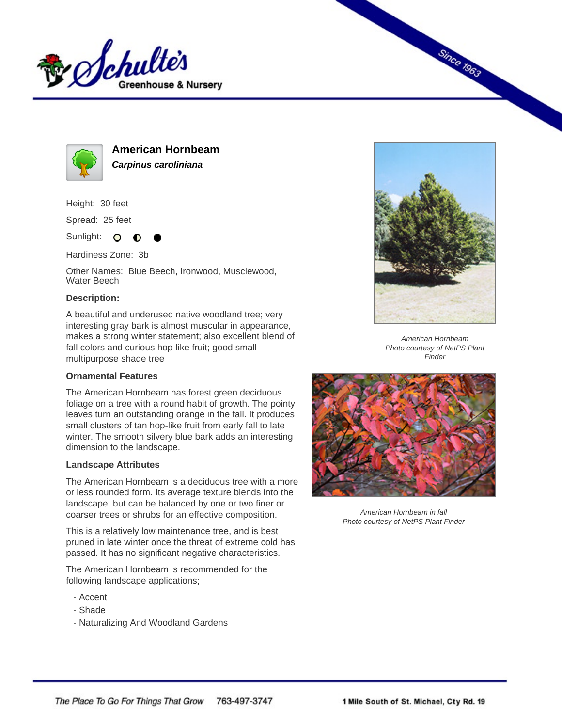



**American Hornbeam Carpinus caroliniana**

Height: 30 feet

Spread: 25 feet

Sunlight: O

Hardiness Zone: 3b

Other Names: Blue Beech, Ironwood, Musclewood, Water Beech

## **Description:**

A beautiful and underused native woodland tree; very interesting gray bark is almost muscular in appearance, makes a strong winter statement; also excellent blend of fall colors and curious hop-like fruit; good small multipurpose shade tree

## **Ornamental Features**

The American Hornbeam has forest green deciduous foliage on a tree with a round habit of growth. The pointy leaves turn an outstanding orange in the fall. It produces small clusters of tan hop-like fruit from early fall to late winter. The smooth silvery blue bark adds an interesting dimension to the landscape.

## **Landscape Attributes**

The American Hornbeam is a deciduous tree with a more or less rounded form. Its average texture blends into the landscape, but can be balanced by one or two finer or coarser trees or shrubs for an effective composition.

This is a relatively low maintenance tree, and is best pruned in late winter once the threat of extreme cold has passed. It has no significant negative characteristics.

The American Hornbeam is recommended for the following landscape applications;

- Accent
- Shade
- Naturalizing And Woodland Gardens



**Since 1963** 

American Hornbeam Photo courtesy of NetPS Plant Finder



American Hornbeam in fall Photo courtesy of NetPS Plant Finder